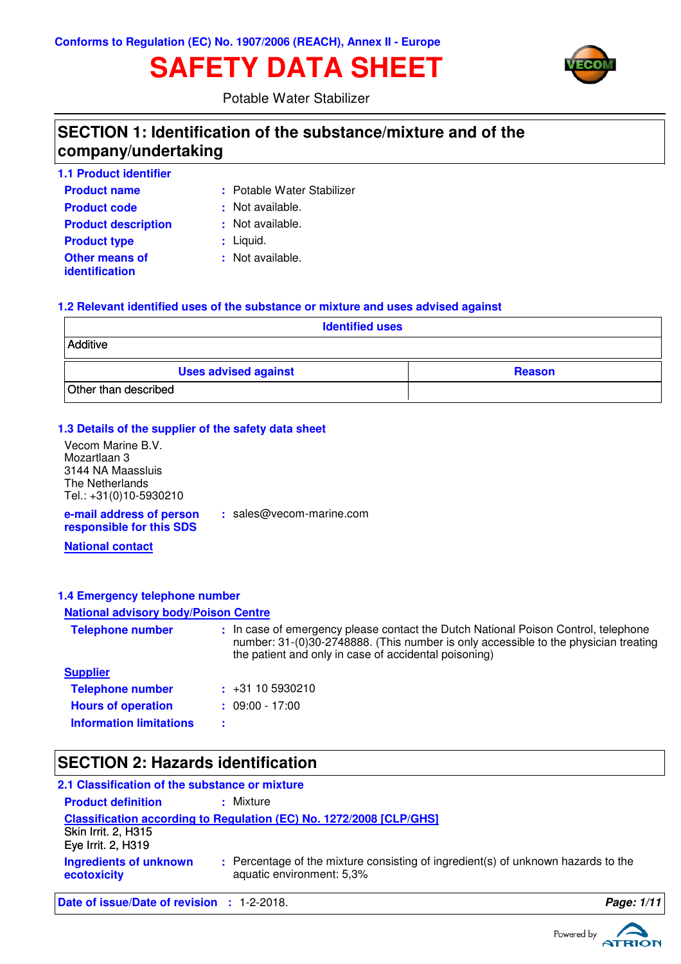# **SAFETY DATA SHEET**



Potable Water Stabilizer

### **SECTION 1: Identification of the substance/mixture and of the company/undertaking**

| <b>1.1 Product identifier</b>           |                            |
|-----------------------------------------|----------------------------|
| <b>Product name</b>                     | : Potable Water Stabilizer |
| <b>Product code</b>                     | : Not available.           |
| <b>Product description</b>              | : Not available.           |
| <b>Product type</b>                     | $:$ Liquid.                |
| <b>Other means of</b><br>identification | : Not available.           |

### **1.2 Relevant identified uses of the substance or mixture and uses advised against**

| <b>Identified uses</b>      |               |  |  |
|-----------------------------|---------------|--|--|
| Additive                    |               |  |  |
| <b>Uses advised against</b> | <b>Reason</b> |  |  |
| Other than described        |               |  |  |

### **1.3 Details of the supplier of the safety data sheet**

| Vecom Marine B.V.                                    |                            |
|------------------------------------------------------|----------------------------|
| Mozartlaan 3                                         |                            |
| 3144 NA Maassluis                                    |                            |
| The Netherlands                                      |                            |
| Tel.: +31(0)10-5930210                               |                            |
| e-mail address of person<br>responsible for this SDS | $:$ sales@vecom-marine.com |

**National contact**

### **1.4 Emergency telephone number**

### **National advisory body/Poison Centre**

| <b>Telephone number</b>        | : In case of emergency please contact the Dutch National Poison Control, telephone<br>number: 31-(0)30-2748888. (This number is only accessible to the physician treating<br>the patient and only in case of accidental poisoning) |
|--------------------------------|------------------------------------------------------------------------------------------------------------------------------------------------------------------------------------------------------------------------------------|
| <b>Supplier</b>                |                                                                                                                                                                                                                                    |
| <b>Telephone number</b>        | $\div$ +31 10 5930210                                                                                                                                                                                                              |
| <b>Hours of operation</b>      | $: 09:00 - 17:00$                                                                                                                                                                                                                  |
| <b>Information limitations</b> |                                                                                                                                                                                                                                    |

# **SECTION 2: Hazards identification**

| 2.1 Classification of the substance or mixture    |                                                                                                                |            |
|---------------------------------------------------|----------------------------------------------------------------------------------------------------------------|------------|
| <b>Product definition</b>                         | : Mixture                                                                                                      |            |
| <b>Skin Irrit. 2, H315</b><br>Eye Irrit. 2, H319  | Classification according to Regulation (EC) No. 1272/2008 [CLP/GHS]                                            |            |
| <b>Ingredients of unknown</b><br>ecotoxicity      | : Percentage of the mixture consisting of ingredient(s) of unknown hazards to the<br>aquatic environment: 5,3% |            |
| <b>Date of issue/Date of revision : 1-2-2018.</b> |                                                                                                                | Page: 1/11 |

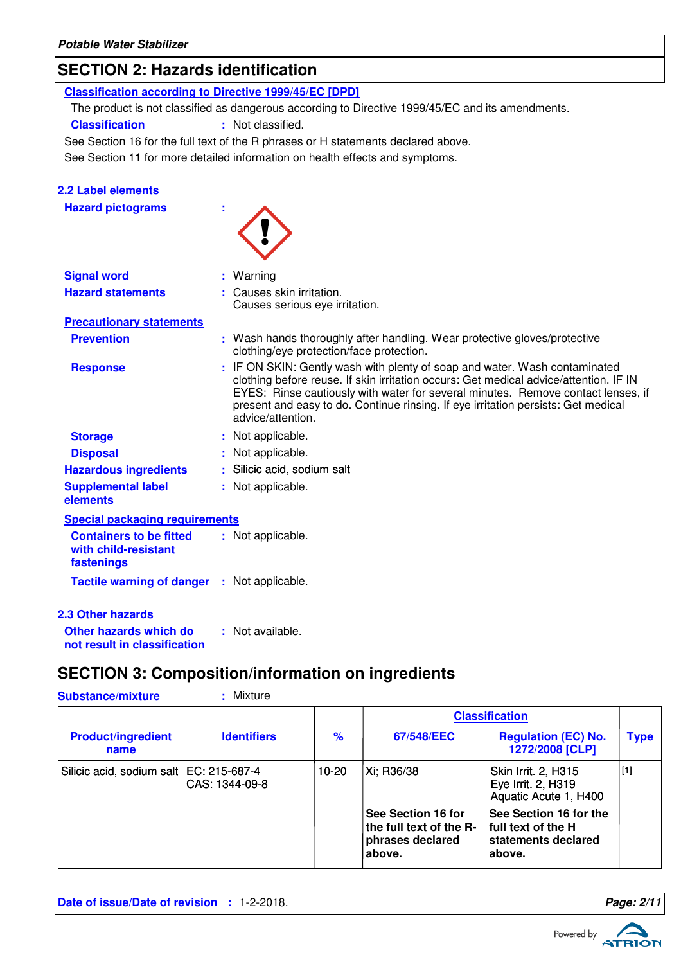**Potable Water Stabilizer**

# **SECTION 2: Hazards identification**

**Classification according to Directive 1999/45/EC [DPD]**

The product is not classified as dangerous according to Directive 1999/45/EC and its amendments.

**Classification :** Not classified.

See Section 16 for the full text of the R phrases or H statements declared above.

See Section 11 for more detailed information on health effects and symptoms.

### **2.2 Label elements**

**Hazard pictograms :**

| ۰ |
|---|
|---|

| <b>Signal word</b>                                                   | : Warning                                                                                                                                                                                                                                                                                                                                                         |
|----------------------------------------------------------------------|-------------------------------------------------------------------------------------------------------------------------------------------------------------------------------------------------------------------------------------------------------------------------------------------------------------------------------------------------------------------|
| <b>Hazard statements</b>                                             | : Causes skin irritation.<br>Causes serious eye irritation.                                                                                                                                                                                                                                                                                                       |
| <b>Precautionary statements</b>                                      |                                                                                                                                                                                                                                                                                                                                                                   |
| <b>Prevention</b>                                                    | : Wash hands thoroughly after handling. Wear protective gloves/protective<br>clothing/eye protection/face protection.                                                                                                                                                                                                                                             |
| <b>Response</b>                                                      | : IF ON SKIN: Gently wash with plenty of soap and water. Wash contaminated<br>clothing before reuse. If skin irritation occurs: Get medical advice/attention. IF IN<br>EYES: Rinse cautiously with water for several minutes. Remove contact lenses, if<br>present and easy to do. Continue rinsing. If eye irritation persists: Get medical<br>advice/attention. |
| <b>Storage</b>                                                       | : Not applicable.                                                                                                                                                                                                                                                                                                                                                 |
| <b>Disposal</b>                                                      | : Not applicable.                                                                                                                                                                                                                                                                                                                                                 |
| <b>Hazardous ingredients</b>                                         | : Silicic acid, sodium salt                                                                                                                                                                                                                                                                                                                                       |
| <b>Supplemental label</b><br>elements                                | : Not applicable.                                                                                                                                                                                                                                                                                                                                                 |
| <b>Special packaging requirements</b>                                |                                                                                                                                                                                                                                                                                                                                                                   |
| <b>Containers to be fitted</b><br>with child-resistant<br>fastenings | : Not applicable.                                                                                                                                                                                                                                                                                                                                                 |
| <b>Tactile warning of danger : Not applicable.</b>                   |                                                                                                                                                                                                                                                                                                                                                                   |
| <b>2.3 Other hazards</b>                                             |                                                                                                                                                                                                                                                                                                                                                                   |
| Other hazards which do                                               | : Not available.                                                                                                                                                                                                                                                                                                                                                  |

**Other hazards which do : not result in classification**

### **SECTION 3: Composition/information on ingredients**

| <b>Substance/mixture</b>                  | Mixture            |               |                                                                             |                                                                                 |             |
|-------------------------------------------|--------------------|---------------|-----------------------------------------------------------------------------|---------------------------------------------------------------------------------|-------------|
|                                           |                    |               |                                                                             | <b>Classification</b>                                                           |             |
| <b>Product/ingredient</b><br>name         | <b>Identifiers</b> | $\frac{9}{6}$ | 67/548/EEC                                                                  | <b>Regulation (EC) No.</b><br>1272/2008 [CLP]                                   | <b>Type</b> |
| Silicic acid, sodium salt   EC: 215-687-4 | CAS: 1344-09-8     | 10-20         | Xi; R36/38                                                                  | Skin Irrit. 2, H315<br>Eye Irrit. 2, H319<br>Aquatic Acute 1, H400              | $\vert$ [1] |
|                                           |                    |               | See Section 16 for<br>the full text of the R-<br>phrases declared<br>above. | See Section 16 for the<br>  full text of the H<br>statements declared<br>above. |             |

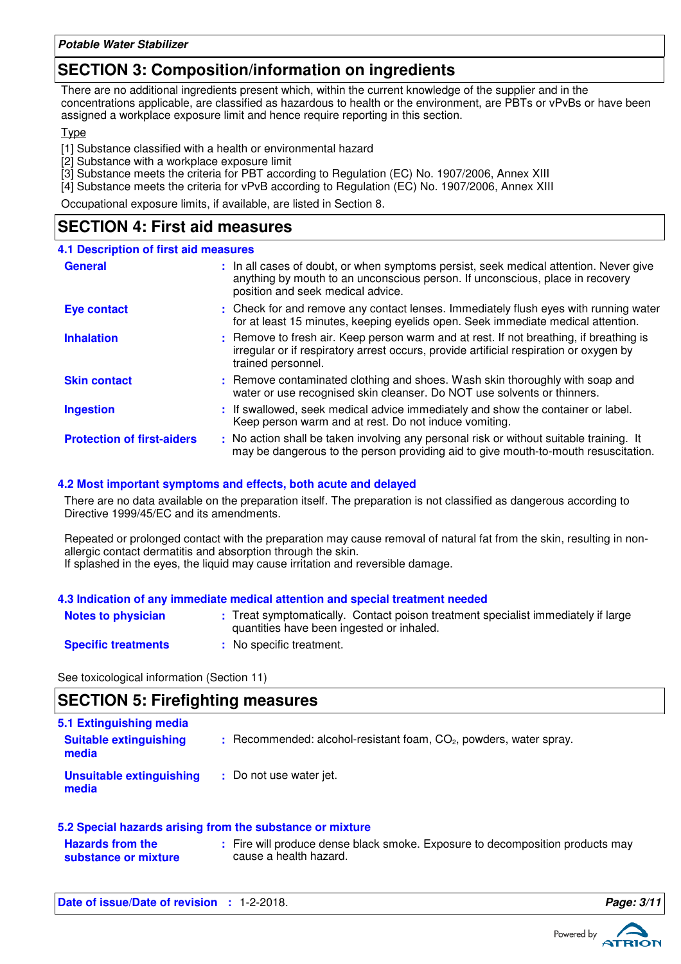### **SECTION 3: Composition/information on ingredients**

There are no additional ingredients present which, within the current knowledge of the supplier and in the concentrations applicable, are classified as hazardous to health or the environment, are PBTs or vPvBs or have been assigned a workplace exposure limit and hence require reporting in this section.

#### Type

[1] Substance classified with a health or environmental hazard

- [2] Substance with a workplace exposure limit
- [3] Substance meets the criteria for PBT according to Regulation (EC) No. 1907/2006, Annex XIII
- [4] Substance meets the criteria for vPvB according to Regulation (EC) No. 1907/2006, Annex XIII

Occupational exposure limits, if available, are listed in Section 8.

### **SECTION 4: First aid measures**

#### **4.1 Description of first aid measures**

| <b>General</b>                    | : In all cases of doubt, or when symptoms persist, seek medical attention. Never give<br>anything by mouth to an unconscious person. If unconscious, place in recovery<br>position and seek medical advice. |
|-----------------------------------|-------------------------------------------------------------------------------------------------------------------------------------------------------------------------------------------------------------|
| Eye contact                       | : Check for and remove any contact lenses. Immediately flush eyes with running water<br>for at least 15 minutes, keeping eyelids open. Seek immediate medical attention.                                    |
| <b>Inhalation</b>                 | : Remove to fresh air. Keep person warm and at rest. If not breathing, if breathing is<br>irregular or if respiratory arrest occurs, provide artificial respiration or oxygen by<br>trained personnel.      |
| <b>Skin contact</b>               | : Remove contaminated clothing and shoes. Wash skin thoroughly with soap and<br>water or use recognised skin cleanser. Do NOT use solvents or thinners.                                                     |
| <b>Ingestion</b>                  | : If swallowed, seek medical advice immediately and show the container or label.<br>Keep person warm and at rest. Do not induce vomiting.                                                                   |
| <b>Protection of first-aiders</b> | : No action shall be taken involving any personal risk or without suitable training. It<br>may be dangerous to the person providing aid to give mouth-to-mouth resuscitation.                               |

#### **4.2 Most important symptoms and effects, both acute and delayed**

There are no data available on the preparation itself. The preparation is not classified as dangerous according to Directive 1999/45/EC and its amendments.

Repeated or prolonged contact with the preparation may cause removal of natural fat from the skin, resulting in nonallergic contact dermatitis and absorption through the skin. If splashed in the eyes, the liquid may cause irritation and reversible damage.

### **4.3 Indication of any immediate medical attention and special treatment needed**

| <b>Notes to physician</b>  | : Treat symptomatically. Contact poison treatment specialist immediately if large<br>quantities have been ingested or inhaled. |
|----------------------------|--------------------------------------------------------------------------------------------------------------------------------|
| <b>Specific treatments</b> | : No specific treatment.                                                                                                       |

See toxicological information (Section 11)

### **SECTION 5: Firefighting measures**

| 5.1 Extinguishing media<br><b>Suitable extinguishing</b><br>media | $\therefore$ Recommended: alcohol-resistant foam, $CO2$ , powders, water spray. |
|-------------------------------------------------------------------|---------------------------------------------------------------------------------|
| Unsuitable extinguishing<br>media                                 | : Do not use water jet.                                                         |
|                                                                   |                                                                                 |

| 5.2 Special hazards arising from the substance or mixture |                                                                               |  |
|-----------------------------------------------------------|-------------------------------------------------------------------------------|--|
| <b>Hazards from the</b>                                   | : Fire will produce dense black smoke. Exposure to decomposition products may |  |
| substance or mixture                                      | cause a health hazard.                                                        |  |

**Date of issue/Date of revision : 1-2-2018. Page: 3/1 Page: 3/11 Page: 3/11** 



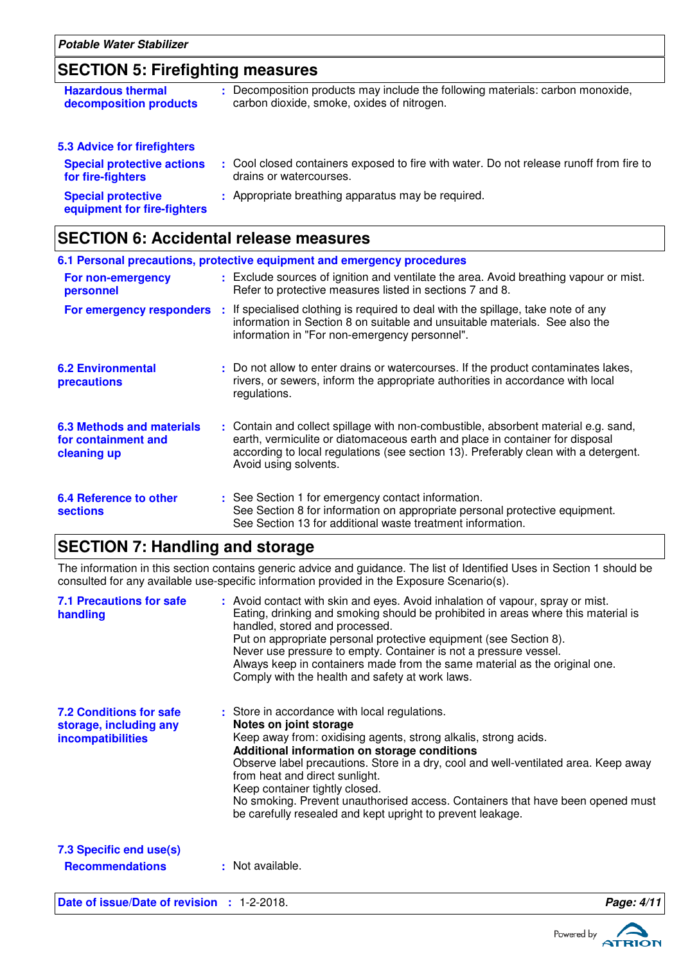# **SECTION 5: Firefighting measures**

| <b>Hazardous thermal</b><br>decomposition products       | : Decomposition products may include the following materials: carbon monoxide,<br>carbon dioxide, smoke, oxides of nitrogen. |
|----------------------------------------------------------|------------------------------------------------------------------------------------------------------------------------------|
| <b>5.3 Advice for firefighters</b>                       |                                                                                                                              |
| <b>Special protective actions</b><br>for fire-fighters   | : Cool closed containers exposed to fire with water. Do not release runoff from fire to<br>drains or watercourses.           |
| <b>Special protective</b><br>equipment for fire-fighters | : Appropriate breathing apparatus may be required.                                                                           |

### **SECTION 6: Accidental release measures**

|                                                                        | 6.1 Personal precautions, protective equipment and emergency procedures                                                                                                                                                                                                            |
|------------------------------------------------------------------------|------------------------------------------------------------------------------------------------------------------------------------------------------------------------------------------------------------------------------------------------------------------------------------|
| For non-emergency<br>personnel                                         | : Exclude sources of ignition and ventilate the area. Avoid breathing vapour or mist.<br>Refer to protective measures listed in sections 7 and 8.                                                                                                                                  |
| For emergency responders                                               | : If specialised clothing is required to deal with the spillage, take note of any<br>information in Section 8 on suitable and unsuitable materials. See also the<br>information in "For non-emergency personnel".                                                                  |
| <b>6.2 Environmental</b><br><b>precautions</b>                         | : Do not allow to enter drains or watercourses. If the product contaminates lakes,<br>rivers, or sewers, inform the appropriate authorities in accordance with local<br>regulations.                                                                                               |
| <b>6.3 Methods and materials</b><br>for containment and<br>cleaning up | : Contain and collect spillage with non-combustible, absorbent material e.g. sand,<br>earth, vermiculite or diatomaceous earth and place in container for disposal<br>according to local regulations (see section 13). Preferably clean with a detergent.<br>Avoid using solvents. |
| 6.4 Reference to other<br><b>sections</b>                              | : See Section 1 for emergency contact information.<br>See Section 8 for information on appropriate personal protective equipment.<br>See Section 13 for additional waste treatment information.                                                                                    |

### **SECTION 7: Handling and storage**

The information in this section contains generic advice and guidance. The list of Identified Uses in Section 1 should be consulted for any available use-specific information provided in the Exposure Scenario(s).

| <b>7.1 Precautions for safe</b><br>handling                                          | : Avoid contact with skin and eyes. Avoid inhalation of vapour, spray or mist.<br>Eating, drinking and smoking should be prohibited in areas where this material is<br>handled, stored and processed.<br>Put on appropriate personal protective equipment (see Section 8).<br>Never use pressure to empty. Container is not a pressure vessel.<br>Always keep in containers made from the same material as the original one.<br>Comply with the health and safety at work laws.                       |            |
|--------------------------------------------------------------------------------------|-------------------------------------------------------------------------------------------------------------------------------------------------------------------------------------------------------------------------------------------------------------------------------------------------------------------------------------------------------------------------------------------------------------------------------------------------------------------------------------------------------|------------|
| <b>7.2 Conditions for safe</b><br>storage, including any<br><b>incompatibilities</b> | : Store in accordance with local regulations.<br>Notes on joint storage<br>Keep away from: oxidising agents, strong alkalis, strong acids.<br>Additional information on storage conditions<br>Observe label precautions. Store in a dry, cool and well-ventilated area. Keep away<br>from heat and direct sunlight.<br>Keep container tightly closed.<br>No smoking. Prevent unauthorised access. Containers that have been opened must<br>be carefully resealed and kept upright to prevent leakage. |            |
| 7.3 Specific end use(s)<br><b>Recommendations</b>                                    | : Not available.                                                                                                                                                                                                                                                                                                                                                                                                                                                                                      |            |
| Date of issue/Date of revision : 1-2-2018.                                           |                                                                                                                                                                                                                                                                                                                                                                                                                                                                                                       | Page: 4/11 |





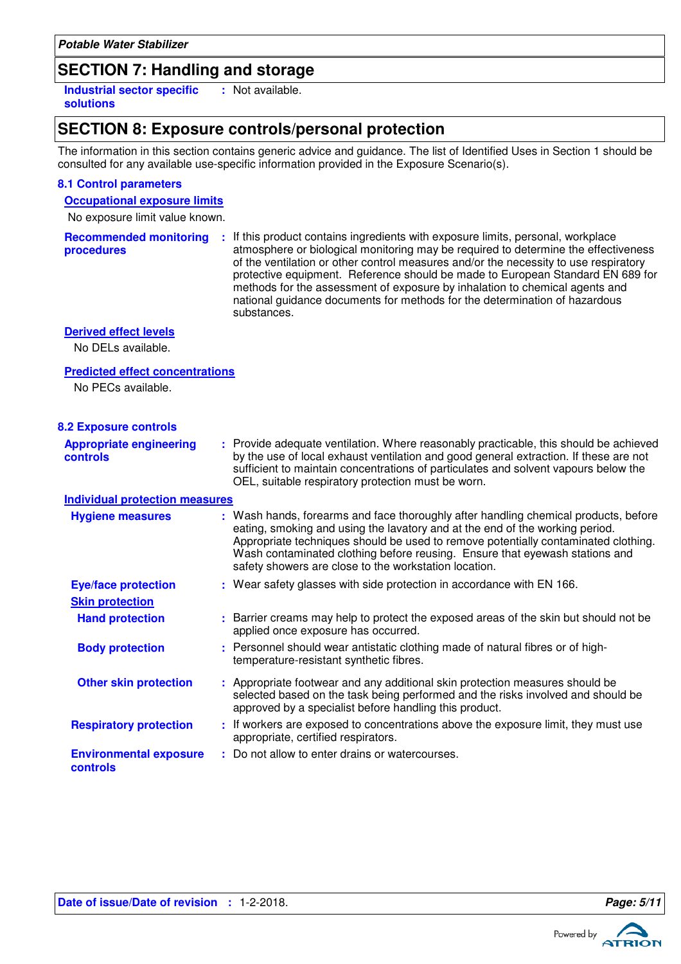| Potable Water Stabilizer |  |  |  |
|--------------------------|--|--|--|
|--------------------------|--|--|--|

### **SECTION 7: Handling and storage**

**Industrial sector specific : solutions** : Not available.

### **SECTION 8: Exposure controls/personal protection**

The information in this section contains generic advice and guidance. The list of Identified Uses in Section 1 should be consulted for any available use-specific information provided in the Exposure Scenario(s).

Recommended monitoring : If this product contains ingredients with exposure limits, personal, workplace

### **8.1 Control parameters**

### **Occupational exposure limits**

No exposure limit value known.

| procedures                                 | atmosphere or biological monitoring may be required to determine the effectiveness<br>of the ventilation or other control measures and/or the necessity to use respiratory<br>protective equipment. Reference should be made to European Standard EN 689 for<br>methods for the assessment of exposure by inhalation to chemical agents and<br>national guidance documents for methods for the determination of hazardous<br>substances. |
|--------------------------------------------|------------------------------------------------------------------------------------------------------------------------------------------------------------------------------------------------------------------------------------------------------------------------------------------------------------------------------------------------------------------------------------------------------------------------------------------|
| <b>Derived effect levels</b>               |                                                                                                                                                                                                                                                                                                                                                                                                                                          |
| No DELs available.                         |                                                                                                                                                                                                                                                                                                                                                                                                                                          |
| <b>Predicted effect concentrations</b>     |                                                                                                                                                                                                                                                                                                                                                                                                                                          |
| No PECs available.                         |                                                                                                                                                                                                                                                                                                                                                                                                                                          |
| <b>8.2 Exposure controls</b>               |                                                                                                                                                                                                                                                                                                                                                                                                                                          |
| <b>Appropriate engineering</b><br>controls | : Provide adequate ventilation. Where reasonably practicable, this should be achieved<br>by the use of local exhaust ventilation and good general extraction. If these are not<br>sufficient to maintain concentrations of particulates and solvent vapours below the<br>OEL, suitable respiratory protection must be worn.                                                                                                              |
| <b>Individual protection measures</b>      |                                                                                                                                                                                                                                                                                                                                                                                                                                          |
| <b>Hygiene measures</b>                    | : Wash hands, forearms and face thoroughly after handling chemical products, before<br>eating, smoking and using the lavatory and at the end of the working period.<br>Appropriate techniques should be used to remove potentially contaminated clothing.<br>Wash contaminated clothing before reusing. Ensure that eyewash stations and<br>safety showers are close to the workstation location.                                        |
| <b>Eye/face protection</b>                 | : Wear safety glasses with side protection in accordance with EN 166.                                                                                                                                                                                                                                                                                                                                                                    |
| <b>Skin protection</b>                     |                                                                                                                                                                                                                                                                                                                                                                                                                                          |
| <b>Hand protection</b>                     | : Barrier creams may help to protect the exposed areas of the skin but should not be<br>applied once exposure has occurred.                                                                                                                                                                                                                                                                                                              |
| <b>Body protection</b>                     | : Personnel should wear antistatic clothing made of natural fibres or of high-<br>temperature-resistant synthetic fibres.                                                                                                                                                                                                                                                                                                                |
| <b>Other skin protection</b>               | : Appropriate footwear and any additional skin protection measures should be<br>selected based on the task being performed and the risks involved and should be<br>approved by a specialist before handling this product.                                                                                                                                                                                                                |
| <b>Respiratory protection</b>              | : If workers are exposed to concentrations above the exposure limit, they must use<br>appropriate, certified respirators.                                                                                                                                                                                                                                                                                                                |
| <b>Environmental exposure</b><br>controls  | : Do not allow to enter drains or watercourses.                                                                                                                                                                                                                                                                                                                                                                                          |

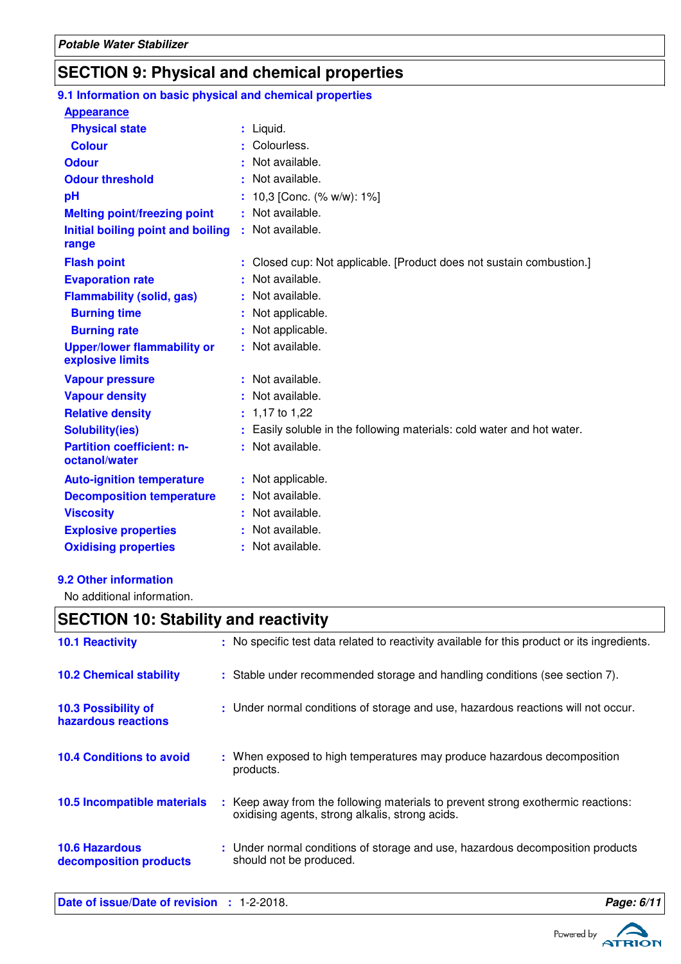# **SECTION 9: Physical and chemical properties**

| 9.1 Information on basic physical and chemical properties |                                                                      |
|-----------------------------------------------------------|----------------------------------------------------------------------|
| <b>Appearance</b>                                         |                                                                      |
| <b>Physical state</b>                                     | : Liquid.                                                            |
| <b>Colour</b>                                             | Colourless.                                                          |
| <b>Odour</b>                                              | Not available.                                                       |
| <b>Odour threshold</b>                                    | Not available.                                                       |
| рH                                                        | 10,3 [Conc. (% w/w): 1%]                                             |
| <b>Melting point/freezing point</b>                       | Not available.                                                       |
| Initial boiling point and boiling<br>range                | : Not available.                                                     |
| <b>Flash point</b>                                        | Closed cup: Not applicable. [Product does not sustain combustion.]   |
| <b>Evaporation rate</b>                                   | Not available.                                                       |
| <b>Flammability (solid, gas)</b>                          | Not available.                                                       |
| <b>Burning time</b>                                       | Not applicable.                                                      |
| <b>Burning rate</b>                                       | Not applicable.                                                      |
| <b>Upper/lower flammability or</b><br>explosive limits    | : Not available.                                                     |
| <b>Vapour pressure</b>                                    | : Not available.                                                     |
| <b>Vapour density</b>                                     | Not available.                                                       |
| <b>Relative density</b>                                   | 1,17 to 1,22                                                         |
| <b>Solubility(ies)</b>                                    | Easily soluble in the following materials: cold water and hot water. |
| <b>Partition coefficient: n-</b><br>octanol/water         | : Not available.                                                     |
| <b>Auto-ignition temperature</b>                          | : Not applicable.                                                    |
| <b>Decomposition temperature</b>                          | Not available.                                                       |
| <b>Viscosity</b>                                          | Not available.                                                       |
| <b>Explosive properties</b>                               | Not available.                                                       |
| <b>Oxidising properties</b>                               | : Not available.                                                     |

#### **9.2 Other information**

No additional information.

### **SECTION 10: Stability and reactivity**

| <b>10.6 Hazardous</b><br>decomposition products | : Under normal conditions of storage and use, hazardous decomposition products<br>should not be produced.                           |
|-------------------------------------------------|-------------------------------------------------------------------------------------------------------------------------------------|
| 10.5 Incompatible materials                     | : Keep away from the following materials to prevent strong exothermic reactions:<br>oxidising agents, strong alkalis, strong acids. |
| <b>10.4 Conditions to avoid</b>                 | : When exposed to high temperatures may produce hazardous decomposition<br>products.                                                |
| 10.3 Possibility of<br>hazardous reactions      | : Under normal conditions of storage and use, hazardous reactions will not occur.                                                   |
| <b>10.2 Chemical stability</b>                  | : Stable under recommended storage and handling conditions (see section 7).                                                         |
| <b>10.1 Reactivity</b>                          | : No specific test data related to reactivity available for this product or its ingredients.                                        |
|                                                 |                                                                                                                                     |

**Date of issue/Date of revision :** 1-2-2018. **Page: 6/11**



ATRIO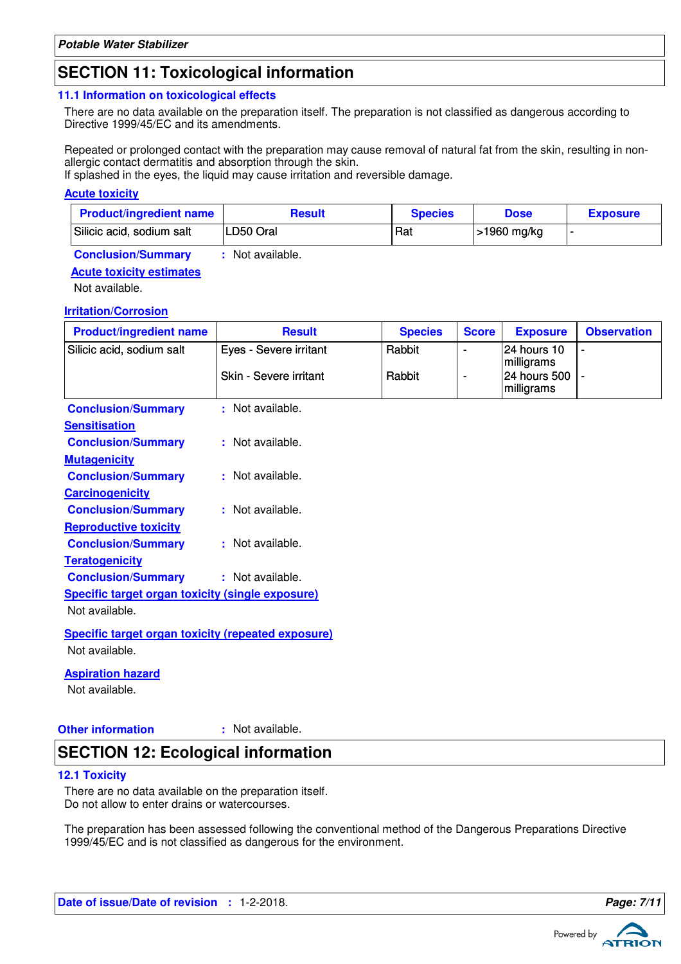### **SECTION 11: Toxicological information**

#### **11.1 Information on toxicological effects**

There are no data available on the preparation itself. The preparation is not classified as dangerous according to Directive 1999/45/EC and its amendments.

Repeated or prolonged contact with the preparation may cause removal of natural fat from the skin, resulting in nonallergic contact dermatitis and absorption through the skin.

If splashed in the eyes, the liquid may cause irritation and reversible damage.

#### **Acute toxicity**

| <b>Product/ingredient name</b> | <b>Result</b> | <b>Species</b> | <b>Dose</b> | <b>Exposure</b> |
|--------------------------------|---------------|----------------|-------------|-----------------|
| Silicic acid, sodium salt      | LD50 Oral     | Rat            | >1960 mg/kg |                 |

**Conclusion/Summary :** Not available.

#### **Acute toxicity estimates**

Not available.

#### **Irritation/Corrosion**

| <b>Product/ingredient name</b>                            | <b>Result</b>          | <b>Species</b> | <b>Score</b> | <b>Exposure</b>                          | <b>Observation</b> |
|-----------------------------------------------------------|------------------------|----------------|--------------|------------------------------------------|--------------------|
| Silicic acid, sodium salt                                 | Eyes - Severe irritant | Rabbit         |              | 24 hours 10                              | ÷                  |
|                                                           | Skin - Severe irritant | Rabbit         |              | milligrams<br>24 hours 500<br>milligrams |                    |
| <b>Conclusion/Summary</b>                                 | : Not available.       |                |              |                                          |                    |
| <b>Sensitisation</b>                                      |                        |                |              |                                          |                    |
| <b>Conclusion/Summary</b>                                 | : Not available.       |                |              |                                          |                    |
| <b>Mutagenicity</b>                                       |                        |                |              |                                          |                    |
| <b>Conclusion/Summary</b>                                 | : Not available.       |                |              |                                          |                    |
| <b>Carcinogenicity</b>                                    |                        |                |              |                                          |                    |
| <b>Conclusion/Summary</b>                                 | : Not available.       |                |              |                                          |                    |
| <b>Reproductive toxicity</b>                              |                        |                |              |                                          |                    |
| <b>Conclusion/Summary</b>                                 | : Not available.       |                |              |                                          |                    |
| <b>Teratogenicity</b>                                     |                        |                |              |                                          |                    |
| <b>Conclusion/Summary</b>                                 | : Not available.       |                |              |                                          |                    |
| <b>Specific target organ toxicity (single exposure)</b>   |                        |                |              |                                          |                    |
| Not available.                                            |                        |                |              |                                          |                    |
| <b>Specific target organ toxicity (repeated exposure)</b> |                        |                |              |                                          |                    |

Not available.

#### **Aspiration hazard**

Not available.

**Other information :**

: Not available.

### **SECTION 12: Ecological information**

#### **12.1 Toxicity**

There are no data available on the preparation itself. Do not allow to enter drains or watercourses.

The preparation has been assessed following the conventional method of the Dangerous Preparations Directive 1999/45/EC and is not classified as dangerous for the environment.

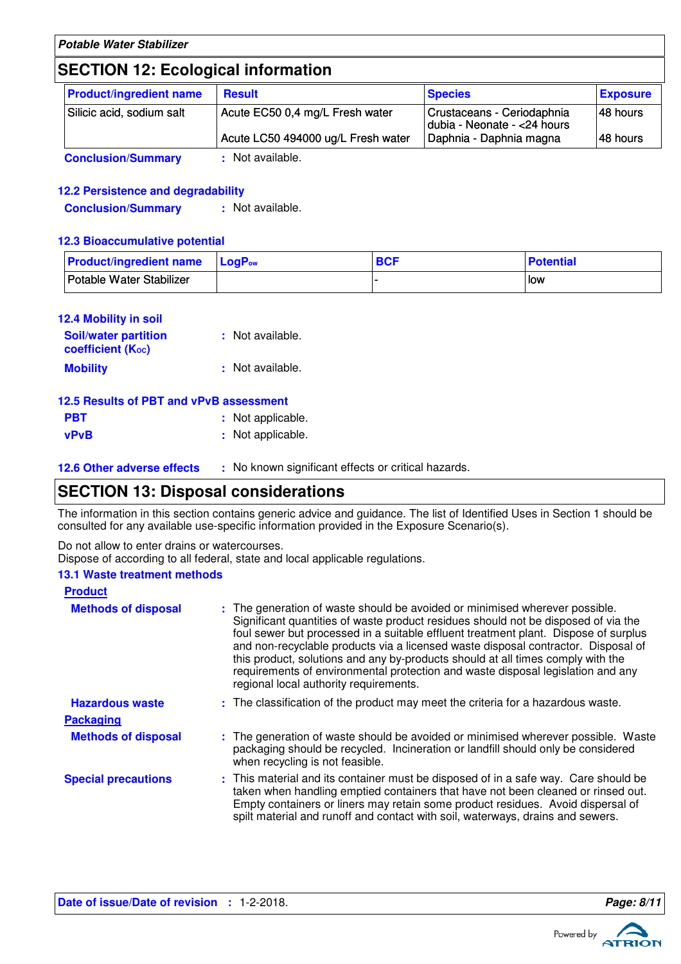# **SECTION 12: Ecological information**

| <b>Product/ingredient name</b> | <b>Result</b>                      | <b>Species</b>                                            | <b>Exposure</b> |
|--------------------------------|------------------------------------|-----------------------------------------------------------|-----------------|
| Silicic acid, sodium salt      | Acute EC50 0,4 mg/L Fresh water    | Crustaceans - Ceriodaphnia<br>dubia - Neonate - <24 hours | 48 hours        |
|                                | Acute LC50 494000 ug/L Fresh water | Daphnia - Daphnia magna                                   | 48 hours        |
| <b>Conclusion/Summary</b>      | : Not available.                   |                                                           |                 |

### **12.2 Persistence and degradability**

**Conclusion/Summary :** Not available.

#### **12.3 Bioaccumulative potential**

| <b>Product/ingredient name</b> | <b>LogP</b> <sub>ow</sub> | <b>BCF</b> | <b>Potential</b> |
|--------------------------------|---------------------------|------------|------------------|
| Potable Water Stabilizer       |                           |            | low              |

| <b>12.4 Mobility in soil</b>                     |                  |
|--------------------------------------------------|------------------|
| <b>Soil/water partition</b><br>coefficient (Koc) | : Not available. |
| <b>Mobility</b>                                  | : Not available. |

|             | 12.5 Results of PBT and vPvB assessment |
|-------------|-----------------------------------------|
| <b>PBT</b>  | : Not applicable.                       |
| <b>vPvB</b> | : Not applicable.                       |

|  |  | <b>12.6 Other adverse effects</b> |  |  |
|--|--|-----------------------------------|--|--|

**12.6 Other adverse effects** : No known significant effects or critical hazards.

### **SECTION 13: Disposal considerations**

The information in this section contains generic advice and guidance. The list of Identified Uses in Section 1 should be consulted for any available use-specific information provided in the Exposure Scenario(s).

Do not allow to enter drains or watercourses.

Dispose of according to all federal, state and local applicable regulations.

#### **13.1 Waste treatment methods**

| <b>Product</b>             |                                                                                                                                                                                                                                                                                                                                                                                                                                                                                                                                                               |
|----------------------------|---------------------------------------------------------------------------------------------------------------------------------------------------------------------------------------------------------------------------------------------------------------------------------------------------------------------------------------------------------------------------------------------------------------------------------------------------------------------------------------------------------------------------------------------------------------|
| <b>Methods of disposal</b> | : The generation of waste should be avoided or minimised wherever possible.<br>Significant quantities of waste product residues should not be disposed of via the<br>foul sewer but processed in a suitable effluent treatment plant. Dispose of surplus<br>and non-recyclable products via a licensed waste disposal contractor. Disposal of<br>this product, solutions and any by-products should at all times comply with the<br>requirements of environmental protection and waste disposal legislation and any<br>regional local authority requirements. |
| <b>Hazardous waste</b>     | : The classification of the product may meet the criteria for a hazardous waste.                                                                                                                                                                                                                                                                                                                                                                                                                                                                              |
| <b>Packaging</b>           |                                                                                                                                                                                                                                                                                                                                                                                                                                                                                                                                                               |
| <b>Methods of disposal</b> | : The generation of waste should be avoided or minimised wherever possible. Waste<br>packaging should be recycled. Incineration or landfill should only be considered<br>when recycling is not feasible.                                                                                                                                                                                                                                                                                                                                                      |
| <b>Special precautions</b> | : This material and its container must be disposed of in a safe way. Care should be<br>taken when handling emptied containers that have not been cleaned or rinsed out.<br>Empty containers or liners may retain some product residues. Avoid dispersal of<br>spilt material and runoff and contact with soil, waterways, drains and sewers.                                                                                                                                                                                                                  |

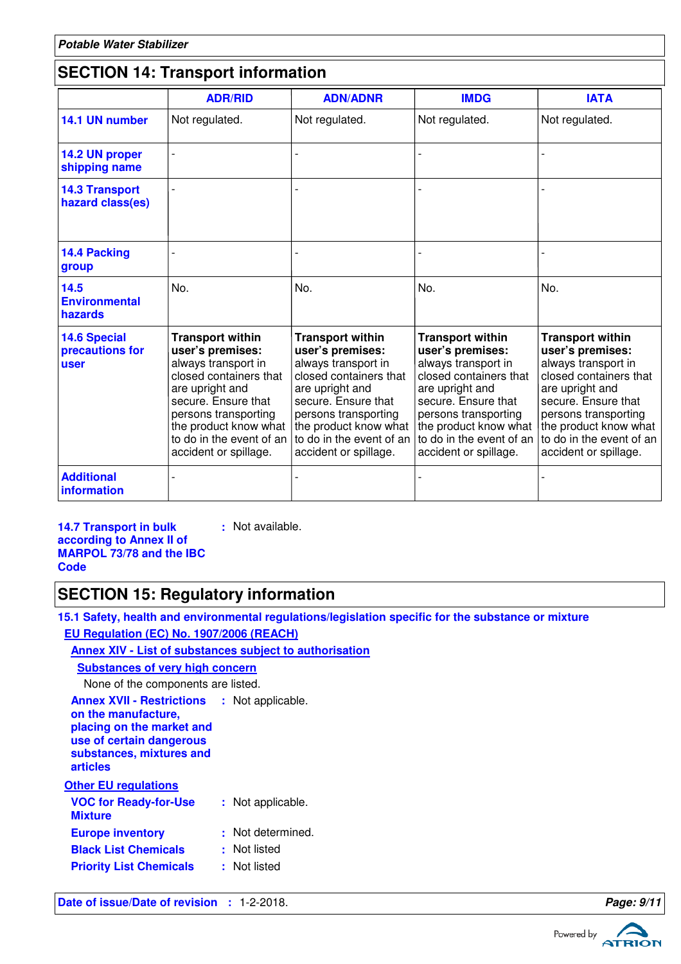# **SECTION 14: Transport information**

|                                                | <b>ADR/RID</b>                                                                                                                                                                                                                               | <b>ADN/ADNR</b>                                                                                                                                                                                                                              | <b>IMDG</b>                                                                                                                                                                                                                                  | <b>IATA</b>                                                                                                                                                                                                                                  |
|------------------------------------------------|----------------------------------------------------------------------------------------------------------------------------------------------------------------------------------------------------------------------------------------------|----------------------------------------------------------------------------------------------------------------------------------------------------------------------------------------------------------------------------------------------|----------------------------------------------------------------------------------------------------------------------------------------------------------------------------------------------------------------------------------------------|----------------------------------------------------------------------------------------------------------------------------------------------------------------------------------------------------------------------------------------------|
| 14.1 UN number                                 | Not regulated.                                                                                                                                                                                                                               | Not regulated.                                                                                                                                                                                                                               | Not regulated.                                                                                                                                                                                                                               | Not regulated.                                                                                                                                                                                                                               |
| 14.2 UN proper<br>shipping name                |                                                                                                                                                                                                                                              |                                                                                                                                                                                                                                              |                                                                                                                                                                                                                                              |                                                                                                                                                                                                                                              |
| <b>14.3 Transport</b><br>hazard class(es)      |                                                                                                                                                                                                                                              |                                                                                                                                                                                                                                              |                                                                                                                                                                                                                                              |                                                                                                                                                                                                                                              |
| 14.4 Packing<br>group                          |                                                                                                                                                                                                                                              |                                                                                                                                                                                                                                              |                                                                                                                                                                                                                                              |                                                                                                                                                                                                                                              |
| 14.5<br><b>Environmental</b><br>hazards        | No.                                                                                                                                                                                                                                          | No.                                                                                                                                                                                                                                          | No.                                                                                                                                                                                                                                          | No.                                                                                                                                                                                                                                          |
| <b>14.6 Special</b><br>precautions for<br>user | <b>Transport within</b><br>user's premises:<br>always transport in<br>closed containers that<br>are upright and<br>secure. Ensure that<br>persons transporting<br>the product know what<br>to do in the event of an<br>accident or spillage. | <b>Transport within</b><br>user's premises:<br>always transport in<br>closed containers that<br>are upright and<br>secure. Ensure that<br>persons transporting<br>the product know what<br>to do in the event of an<br>accident or spillage. | <b>Transport within</b><br>user's premises:<br>always transport in<br>closed containers that<br>are upright and<br>secure. Ensure that<br>persons transporting<br>the product know what<br>to do in the event of an<br>accident or spillage. | <b>Transport within</b><br>user's premises:<br>always transport in<br>closed containers that<br>are upright and<br>secure. Ensure that<br>persons transporting<br>the product know what<br>to do in the event of an<br>accident or spillage. |
| <b>Additional</b><br>information               |                                                                                                                                                                                                                                              |                                                                                                                                                                                                                                              |                                                                                                                                                                                                                                              |                                                                                                                                                                                                                                              |

**14.7 Transport in bulk according to Annex II of MARPOL 73/78 and the IBC Code**

### **SECTION 15: Regulatory information**

**15.1 Safety, health and environmental regulations/legislation specific for the substance or mixture EU Regulation (EC) No. 1907/2006 (REACH)**

### **Annex XIV - List of substances subject to authorisation**

**:** Not available.

| <b>Substances of very high concern</b>                                                                                                                                     |                   |
|----------------------------------------------------------------------------------------------------------------------------------------------------------------------------|-------------------|
| None of the components are listed.                                                                                                                                         |                   |
| <b>Annex XVII - Restrictions : Not applicable.</b><br>on the manufacture,<br>placing on the market and<br>use of certain dangerous<br>substances, mixtures and<br>articles |                   |
| <b>Other EU regulations</b>                                                                                                                                                |                   |
| <b>VOC for Ready-for-Use</b><br><b>Mixture</b>                                                                                                                             | : Not applicable. |
| <b>Europe inventory</b>                                                                                                                                                    | : Not determined. |
| <b>Black List Chemicals</b>                                                                                                                                                | : Not listed      |
| <b>Priority List Chemicals</b>                                                                                                                                             | : Not listed      |
|                                                                                                                                                                            |                   |

**Date of issue/Date of revision : 1-2-2018. Page: 9/11 Page: 9/11** 





ATRIO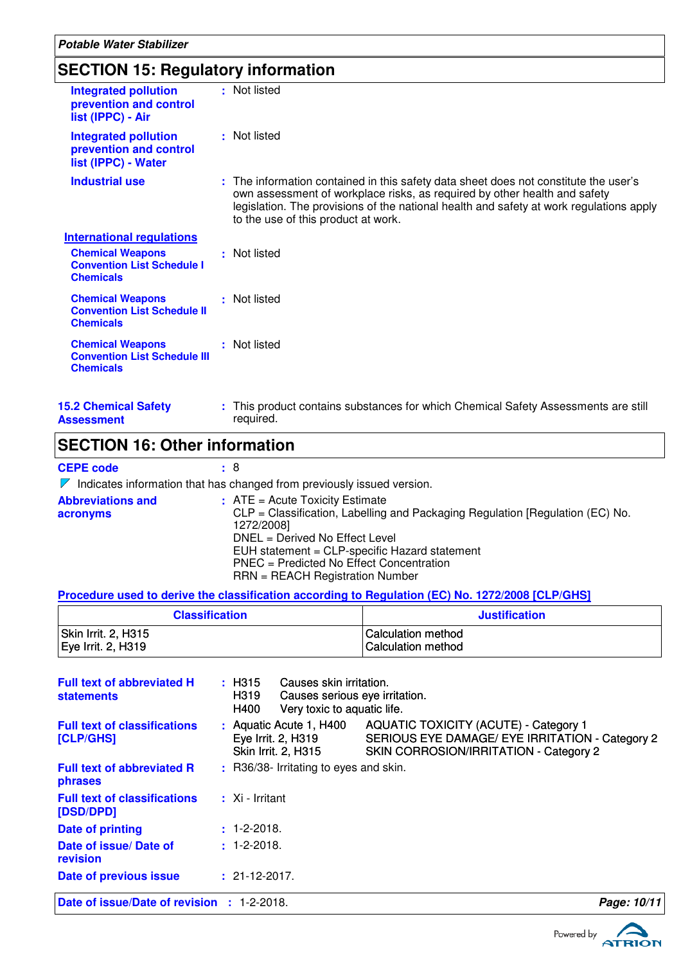# **SECTION 15: Regulatory information**

| <b>Integrated pollution</b><br>prevention and control<br>list (IPPC) - Air         | : Not listed                                                                                                                                                                                                                                                                                        |
|------------------------------------------------------------------------------------|-----------------------------------------------------------------------------------------------------------------------------------------------------------------------------------------------------------------------------------------------------------------------------------------------------|
| <b>Integrated pollution</b><br>prevention and control<br>list (IPPC) - Water       | : Not listed                                                                                                                                                                                                                                                                                        |
| <b>Industrial use</b>                                                              | : The information contained in this safety data sheet does not constitute the user's<br>own assessment of workplace risks, as required by other health and safety<br>legislation. The provisions of the national health and safety at work regulations apply<br>to the use of this product at work. |
| <b>International regulations</b>                                                   |                                                                                                                                                                                                                                                                                                     |
| <b>Chemical Weapons</b><br><b>Convention List Schedule I</b><br><b>Chemicals</b>   | : Not listed                                                                                                                                                                                                                                                                                        |
| <b>Chemical Weapons</b><br><b>Convention List Schedule II</b><br><b>Chemicals</b>  | : Not listed                                                                                                                                                                                                                                                                                        |
| <b>Chemical Weapons</b><br><b>Convention List Schedule III</b><br><b>Chemicals</b> | : Not listed                                                                                                                                                                                                                                                                                        |
| <b>15.2 Chemical Safety</b>                                                        | : This product contains substances for which Chemical Safety Assessments are still                                                                                                                                                                                                                  |

**Assessment**

required.

### **SECTION 16: Other information**

### **CEPE code :** 8

 $\nabla$  Indicates information that has changed from previously issued version.

| <b>Abbreviations and</b><br>acronyms | $:$ ATE = Acute Toxicity Estimate<br>CLP = Classification, Labelling and Packaging Regulation [Regulation (EC) No.<br>1272/2008] |
|--------------------------------------|----------------------------------------------------------------------------------------------------------------------------------|
|                                      | $DNEL = Derived No Effect Level$                                                                                                 |
|                                      | EUH statement = CLP-specific Hazard statement                                                                                    |
|                                      | PNEC = Predicted No Effect Concentration<br>RRN = REACH Registration Number                                                      |

### **Procedure used to derive the classification according to Regulation (EC) No. 1272/2008 [CLP/GHS]**

| <b>Classification</b> | Justification             |
|-----------------------|---------------------------|
| Skin Irrit. 2, H315   | I Calculation method      |
| Eye Irrit. 2, H319    | <b>Calculation method</b> |

| <b>Full text of abbreviated H</b><br><b>statements</b> | : H315<br>Causes skin irritation.<br>H319<br>Causes serious eye irritation.<br>Very toxic to aquatic life.<br>H400 |                                                                                                                                           |             |
|--------------------------------------------------------|--------------------------------------------------------------------------------------------------------------------|-------------------------------------------------------------------------------------------------------------------------------------------|-------------|
| <b>Full text of classifications</b><br>[CLP/GHS]       | : Aquatic Acute 1, H400<br>Eye Irrit. 2, H319<br>Skin Irrit. 2, H315                                               | <b>AQUATIC TOXICITY (ACUTE) - Category 1</b><br>SERIOUS EYE DAMAGE/ EYE IRRITATION - Category 2<br>SKIN CORROSION/IRRITATION - Category 2 |             |
| <b>Full text of abbreviated R</b><br><b>phrases</b>    | : R36/38- Irritating to eyes and skin.                                                                             |                                                                                                                                           |             |
| <b>Full text of classifications</b><br>[DSD/DPD]       | $\cdot$ Xi - Irritant                                                                                              |                                                                                                                                           |             |
| Date of printing                                       | $: 1 - 2 - 2018.$                                                                                                  |                                                                                                                                           |             |
| Date of issue/Date of<br>revision                      | $: 1 - 2 - 2018.$                                                                                                  |                                                                                                                                           |             |
| Date of previous issue                                 | $: 21 - 12 - 2017.$                                                                                                |                                                                                                                                           |             |
| Date of issue/Date of revision : 1-2-2018.             |                                                                                                                    |                                                                                                                                           | Page: 10/11 |